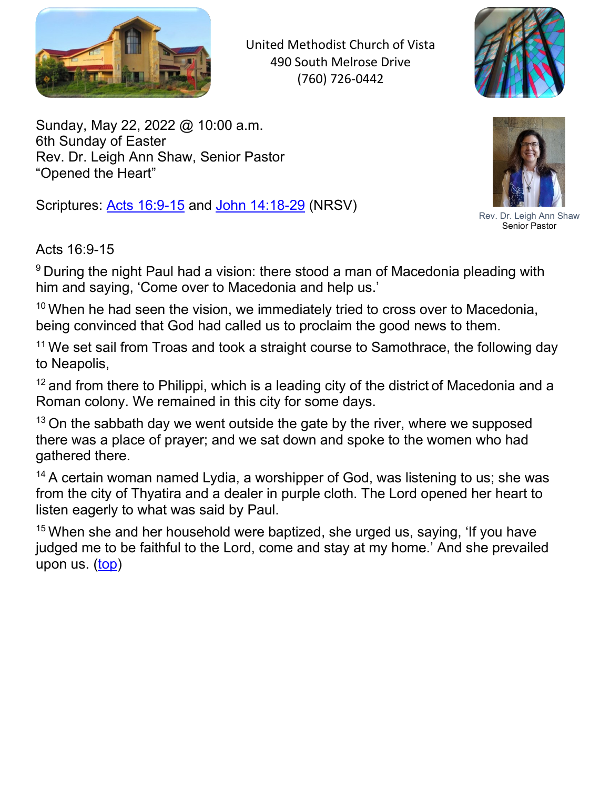

United Methodist Church of Vista 490 South Melrose Drive (760) 726-0442



<span id="page-0-0"></span>Sunday, May 22, 2022 @ 10:00 a.m. 6th Sunday of Easter Rev. Dr. Leigh Ann Shaw, Senior Pastor "Opened the Heart"

Scriptures: Acts 16:9-15 and John 14:18-29 (NRSV)



Rev. Dr. Leigh Ann Shaw Senior Pastor

Acts 16:9-15

<sup>9</sup> During the night Paul had a vision: there stood a man of Macedonia pleading with him and saying, 'Come over to Macedonia and help us.'

 $10$  When he had seen the vision, we immediately tried to cross over to Macedonia, being convinced that God had called us to proclaim the good news to them.

<sup>11</sup> We set sail from Troas and took a straight course to Samothrace, the following day to Neapolis,

 $12$  and from there to Philippi, which is a leading city of the district of Macedonia and a Roman colony. We remained in this city for some days.

 $13$  On the sabbath day we went outside the gate by the river, where we supposed there was a place of prayer; and we sat down and spoke to the women who had gathered there.

<sup>14</sup> A certain woman named Lydia, a worshipper of God, was listening to us; she was from the city of Thyatira and a dealer in purple cloth. The Lord opened her heart to listen eagerly to what was said by Paul.

 $15$  When she and her household were baptized, she urged us, saying, 'If you have judged me to be faithful to the Lord, come and stay at my home.' And she prevailed upon us. (top)